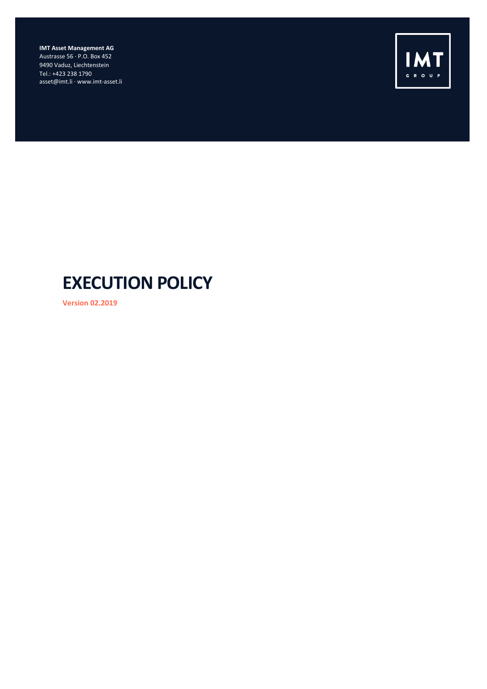**IMT Asset Management AG** Austrasse 56 · P.O. Box 452 9490 Vaduz, Liechtenstein Tel.: +423 238 1790 asset@imt.li · www.imt-asset.li



# **EXECUTION POLICY**

**Version 02.2019**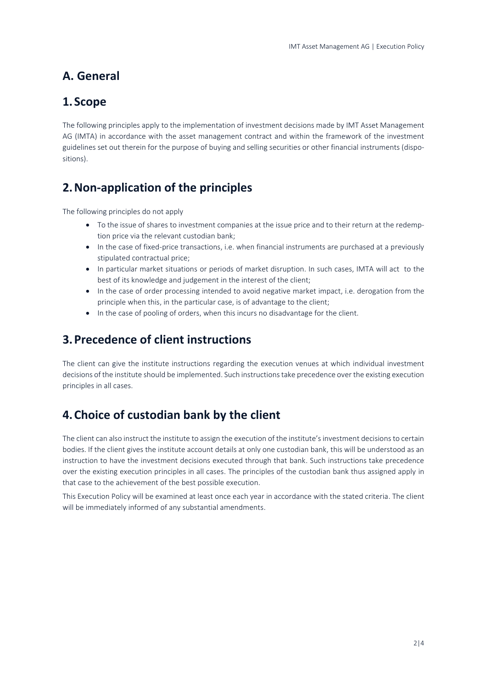# **A. General**

### **1.Scope**

The following principles apply to the implementation of investment decisions made by IMT Asset Management AG (IMTA) in accordance with the asset management contract and within the framework of the investment guidelines set out therein for the purpose of buying and selling securities or other financial instruments (dispositions).

# **2.Non-application of the principles**

The following principles do not apply

- To the issue of shares to investment companies at the issue price and to their return at the redemption price via the relevant custodian bank;
- In the case of fixed-price transactions, i.e. when financial instruments are purchased at a previously stipulated contractual price;
- In particular market situations or periods of market disruption. In such cases, IMTA will act to the best of its knowledge and judgement in the interest of the client;
- In the case of order processing intended to avoid negative market impact, i.e. derogation from the principle when this, in the particular case, is of advantage to the client;
- In the case of pooling of orders, when this incurs no disadvantage for the client.

## **3.Precedence of client instructions**

The client can give the institute instructions regarding the execution venues at which individual investment decisions of the institute should be implemented. Such instructions take precedence over the existing execution principles in all cases.

# **4.Choice of custodian bank by the client**

The client can also instruct the institute to assign the execution of the institute's investment decisions to certain bodies. If the client gives the institute account details at only one custodian bank, this will be understood as an instruction to have the investment decisions executed through that bank. Such instructions take precedence over the existing execution principles in all cases. The principles of the custodian bank thus assigned apply in that case to the achievement of the best possible execution.

This Execution Policy will be examined at least once each year in accordance with the stated criteria. The client will be immediately informed of any substantial amendments.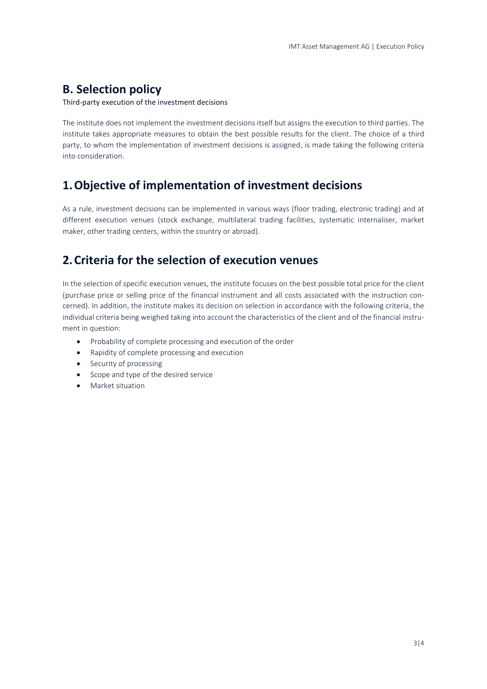## **B. Selection policy**

Third-party execution of the investment decisions

The institute does not implement the investment decisions itself but assigns the execution to third parties. The institute takes appropriate measures to obtain the best possible results for the client. The choice of a third party, to whom the implementation of investment decisions is assigned, is made taking the following criteria into consideration.

#### **1.Objective of implementation of investment decisions**

As a rule, investment decisions can be implemented in various ways (floor trading, electronic trading) and at different execution venues (stock exchange, multilateral trading facilities, systematic internaliser, market maker, other trading centers, within the country or abroad).

#### **2.Criteria for the selection of execution venues**

In the selection of specific execution venues, the institute focuses on the best possible total price for the client (purchase price or selling price of the financial instrument and all costs associated with the instruction concerned). In addition, the institute makes its decision on selection in accordance with the following criteria, the individual criteria being weighed taking into account the characteristics of the client and of the financial instrument in question:

- Probability of complete processing and execution of the order
- Rapidity of complete processing and execution
- Security of processing
- Scope and type of the desired service
- Market situation